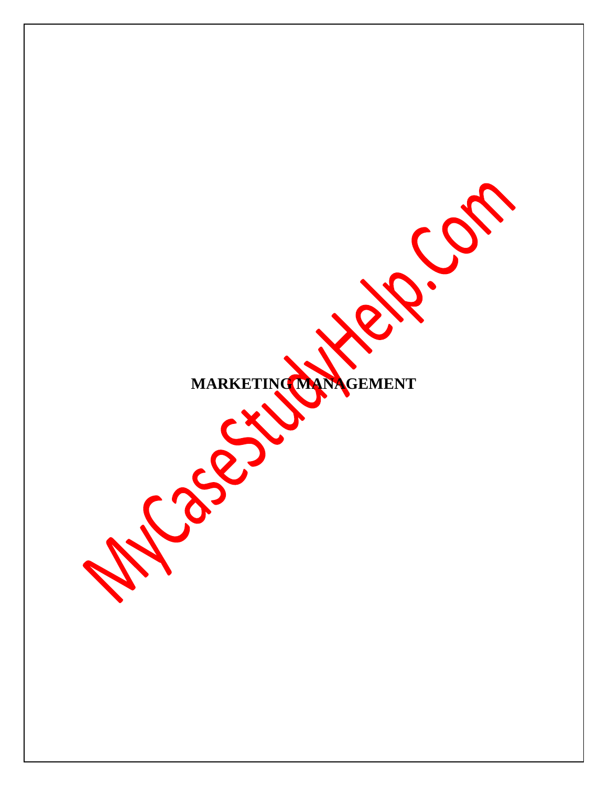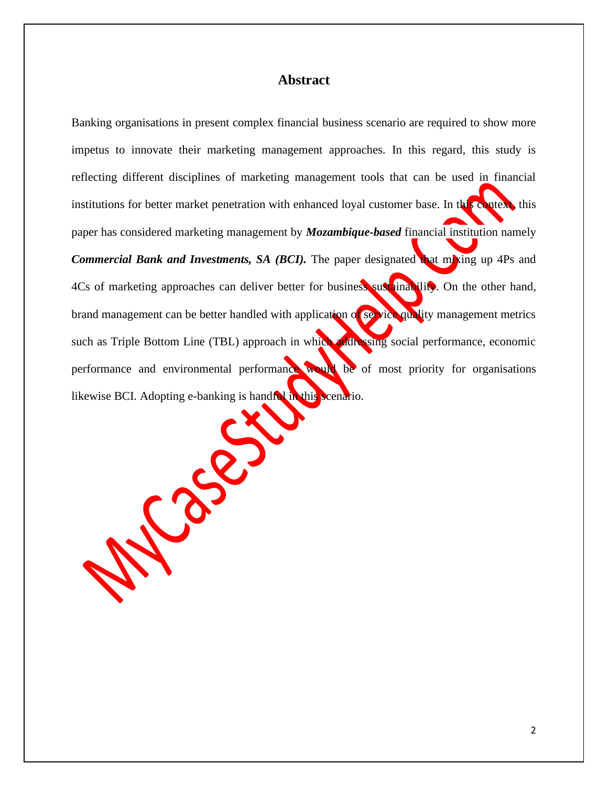# **Abstract**

Banking organisations in present complex financial business scenario are required to show more impetus to innovate their marketing management approaches. In this regard, this study is reflecting different disciplines of marketing management tools that can be used in financial institutions for better market penetration with enhanced loyal customer base. In this context, this paper has considered marketing management by *Mozambique-based* financial institution namely *Commercial Bank and Investments, SA (BCI)*. The paper designated that mixing up 4Ps and 4Cs of marketing approaches can deliver better for business sustainability. On the other hand, brand management can be better handled with application of service quality management metrics such as Triple Bottom Line (TBL) approach in which addressing social performance, economic performance and environmental performance would be of most priority for organisations likewise BCI. Adopting e-banking is handful in this scenario.

Co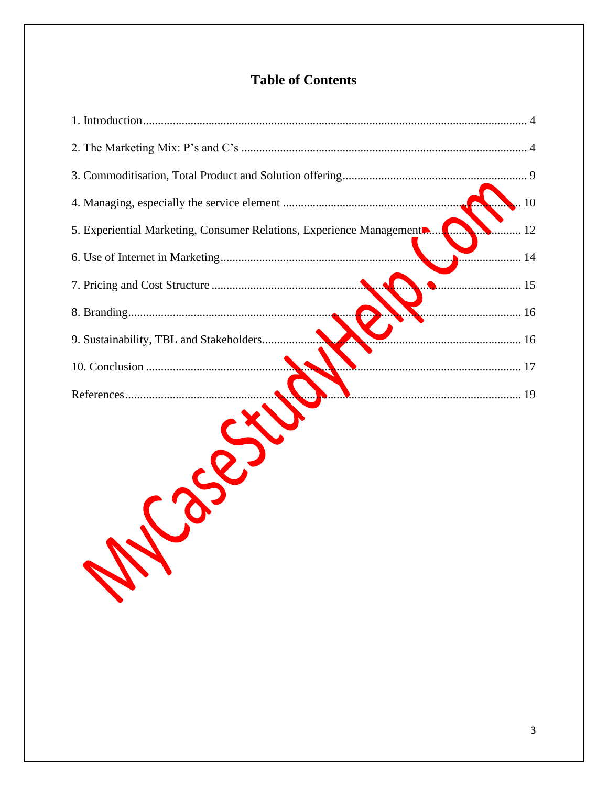# **Table of Contents**

| 10                                                                           |
|------------------------------------------------------------------------------|
| 5. Experiential Marketing, Consumer Relations, Experience Management<br>. 12 |
|                                                                              |
|                                                                              |
|                                                                              |
| 9. Sustainability, TBL and Stakeholders                                      |
|                                                                              |
|                                                                              |
| En 1                                                                         |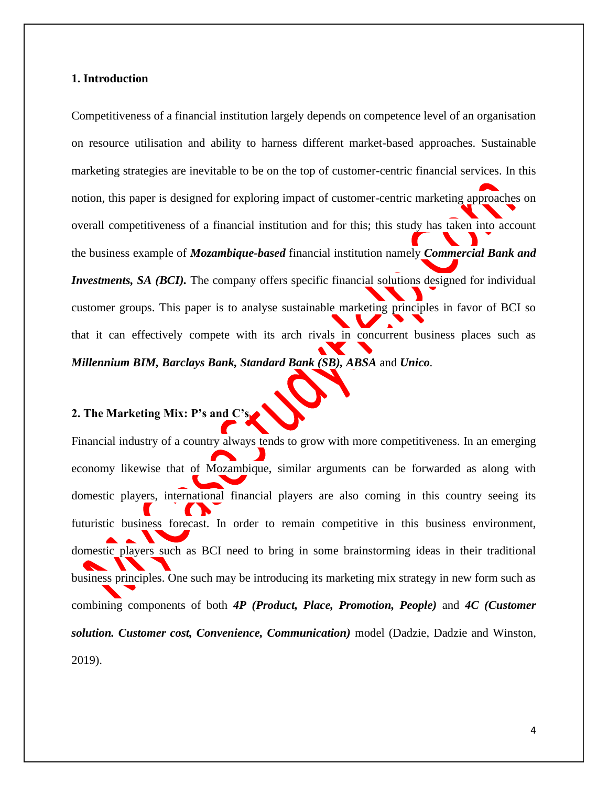#### <span id="page-3-0"></span>**1. Introduction**

Competitiveness of a financial institution largely depends on competence level of an organisation on resource utilisation and ability to harness different market-based approaches. Sustainable marketing strategies are inevitable to be on the top of customer-centric financial services. In this notion, this paper is designed for exploring impact of customer-centric marketing approaches on overall competitiveness of a financial institution and for this; this study has taken into account the business example of *Mozambique-based* financial institution namely *Commercial Bank and Investments, SA (BCI).* The company offers specific financial solutions designed for individual customer groups. This paper is to analyse sustainable marketing principles in favor of BCI so that it can effectively compete with its arch rivals in concurrent business places such as *Millennium BIM, Barclays Bank, Standard Bank (SB), ABSA* and *Unico*.

# <span id="page-3-1"></span>**2. The Marketing Mix: P's and C's**

Financial industry of a country always tends to grow with more competitiveness. In an emerging economy likewise that of Mozambique, similar arguments can be forwarded as along with domestic players, international financial players are also coming in this country seeing its futuristic business forecast. In order to remain competitive in this business environment, domestic players such as BCI need to bring in some brainstorming ideas in their traditional business principles. One such may be introducing its marketing mix strategy in new form such as combining components of both *4P (Product, Place, Promotion, People)* and *4C (Customer solution. Customer cost, Convenience, Communication)* model (Dadzie, Dadzie and Winston, 2019).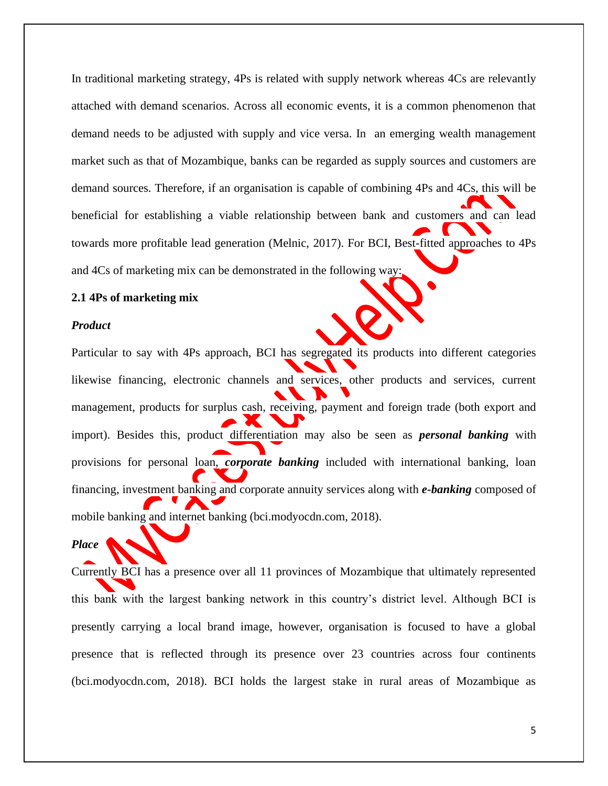In traditional marketing strategy, 4Ps is related with supply network whereas 4Cs are relevantly attached with demand scenarios. Across all economic events, it is a common phenomenon that demand needs to be adjusted with supply and vice versa. In an emerging wealth management market such as that of Mozambique, banks can be regarded as supply sources and customers are demand sources. Therefore, if an organisation is capable of combining 4Ps and 4Cs, this will be beneficial for establishing a viable relationship between bank and customers and can lead towards more profitable lead generation (Melnic, 2017). For BCI, Best-fitted approaches to 4Ps and 4Cs of marketing mix can be demonstrated in the following way:

# **2.1 4Ps of marketing mix**

#### *Product*

Particular to say with 4Ps approach, BCI has segregated its products into different categories likewise financing, electronic channels and services, other products and services, current management, products for surplus cash, receiving, payment and foreign trade (both export and import). Besides this, product differentiation may also be seen as *personal banking* with provisions for personal loan, *corporate banking* included with international banking, loan financing, investment banking and corporate annuity services along with *e-banking* composed of mobile banking and internet banking (bci.modyocdn.com, 2018).

# *Place*

Currently BCI has a presence over all 11 provinces of Mozambique that ultimately represented this bank with the largest banking network in this country's district level. Although BCI is presently carrying a local brand image, however, organisation is focused to have a global presence that is reflected through its presence over 23 countries across four continents (bci.modyocdn.com, 2018). BCI holds the largest stake in rural areas of Mozambique as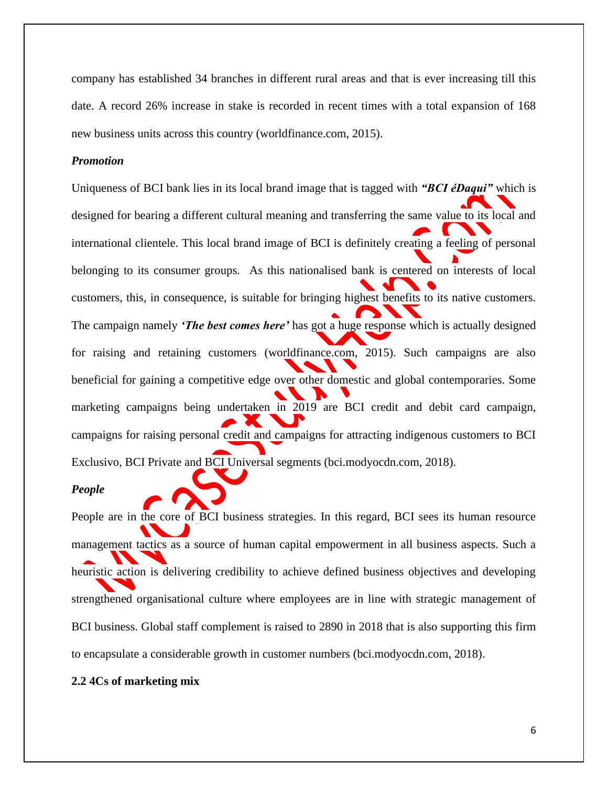company has established 34 branches in different rural areas and that is ever increasing till this date. A record 26% increase in stake is recorded in recent times with a total expansion of 168 new business units across this country (worldfinance.com, 2015).

### *Promotion*

Uniqueness of BCI bank lies in its local brand image that is tagged with *"BCI éDaqui"* which is designed for bearing a different cultural meaning and transferring the same value to its local and international clientele. This local brand image of BCI is definitely creating a feeling of personal belonging to its consumer groups. As this nationalised bank is centered on interests of local customers, this, in consequence, is suitable for bringing highest benefits to its native customers. The campaign namely *'The best comes here'* has got a huge response which is actually designed for raising and retaining customers (worldfinance.com, 2015). Such campaigns are also beneficial for gaining a competitive edge over other domestic and global contemporaries. Some marketing campaigns being undertaken in 2019 are BCI credit and debit card campaign, campaigns for raising personal credit and campaigns for attracting indigenous customers to BCI Exclusivo, BCI Private and BCI Universal segments (bci.modyocdn.com, 2018).

#### *People*

People are in the core of BCI business strategies. In this regard, BCI sees its human resource management tactics as a source of human capital empowerment in all business aspects. Such a heuristic action is delivering credibility to achieve defined business objectives and developing strengthened organisational culture where employees are in line with strategic management of BCI business. Global staff complement is raised to 2890 in 2018 that is also supporting this firm to encapsulate a considerable growth in customer numbers (bci.modyocdn.com, 2018).

#### **2.2 4Cs of marketing mix**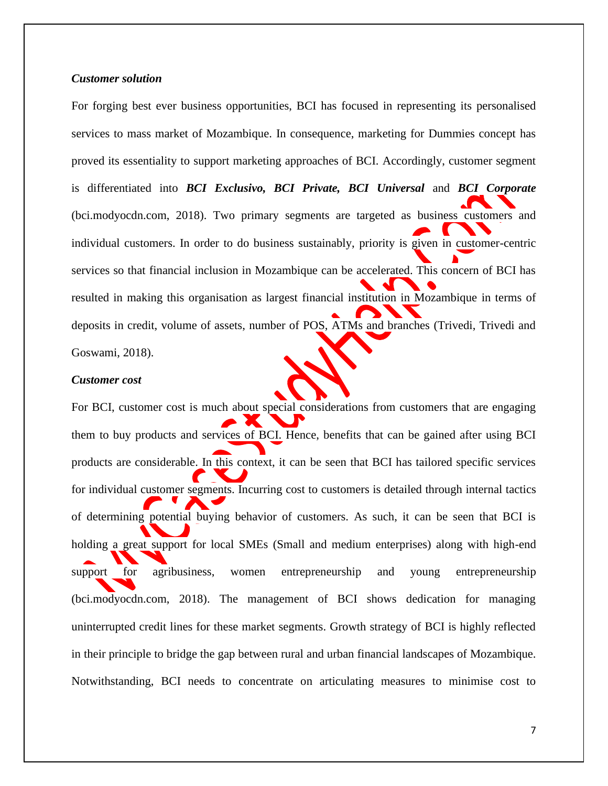# *Customer solution*

For forging best ever business opportunities, BCI has focused in representing its personalised services to mass market of Mozambique. In consequence, marketing for Dummies concept has proved its essentiality to support marketing approaches of BCI. Accordingly, customer segment is differentiated into *BCI Exclusivo, BCI Private, BCI Universal* and *BCI Corporate*  (bci.modyocdn.com, 2018). Two primary segments are targeted as business customers and individual customers. In order to do business sustainably, priority is given in customer-centric services so that financial inclusion in Mozambique can be accelerated. This concern of BCI has resulted in making this organisation as largest financial institution in Mozambique in terms of deposits in credit, volume of assets, number of POS, ATMs and branches (Trivedi, Trivedi and Goswami, 2018).

#### *Customer cost*

For BCI, customer cost is much about special considerations from customers that are engaging them to buy products and services of BCI. Hence, benefits that can be gained after using BCI products are considerable. In this context, it can be seen that BCI has tailored specific services for individual customer segments. Incurring cost to customers is detailed through internal tactics of determining potential buying behavior of customers. As such, it can be seen that BCI is holding a great support for local SMEs (Small and medium enterprises) along with high-end support for agribusiness, women entrepreneurship and young entrepreneurship (bci.modyocdn.com, 2018). The management of BCI shows dedication for managing uninterrupted credit lines for these market segments. Growth strategy of BCI is highly reflected in their principle to bridge the gap between rural and urban financial landscapes of Mozambique. Notwithstanding, BCI needs to concentrate on articulating measures to minimise cost to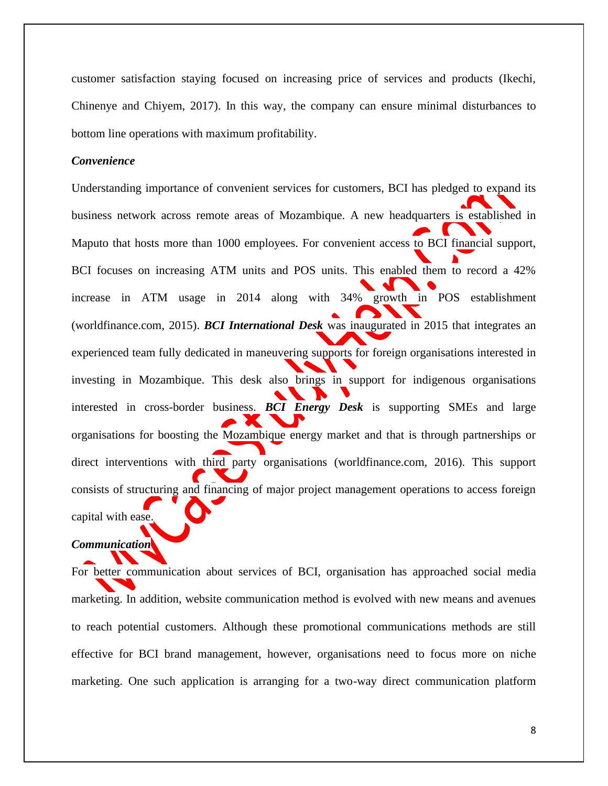customer satisfaction staying focused on increasing price of services and products (Ikechi, Chinenye and Chiyem, 2017). In this way, the company can ensure minimal disturbances to bottom line operations with maximum profitability.

# *Convenience*

Understanding importance of convenient services for customers, BCI has pledged to expand its business network across remote areas of Mozambique. A new headquarters is established in Maputo that hosts more than 1000 employees. For convenient access to BCI financial support, BCI focuses on increasing ATM units and POS units. This enabled them to record a 42% increase in ATM usage in 2014 along with 34% growth in POS establishment (worldfinance.com, 2015). *BCI International Desk* was inaugurated in 2015 that integrates an experienced team fully dedicated in maneuvering supports for foreign organisations interested in investing in Mozambique. This desk also brings in support for indigenous organisations interested in cross-border business. *BCI Energy Desk* is supporting SMEs and large organisations for boosting the Mozambique energy market and that is through partnerships or direct interventions with third party organisations (worldfinance.com, 2016). This support consists of structuring and financing of major project management operations to access foreign capital with ease.

# *Communication*

For better communication about services of BCI, organisation has approached social media marketing. In addition, website communication method is evolved with new means and avenues to reach potential customers. Although these promotional communications methods are still effective for BCI brand management, however, organisations need to focus more on niche marketing. One such application is arranging for a two-way direct communication platform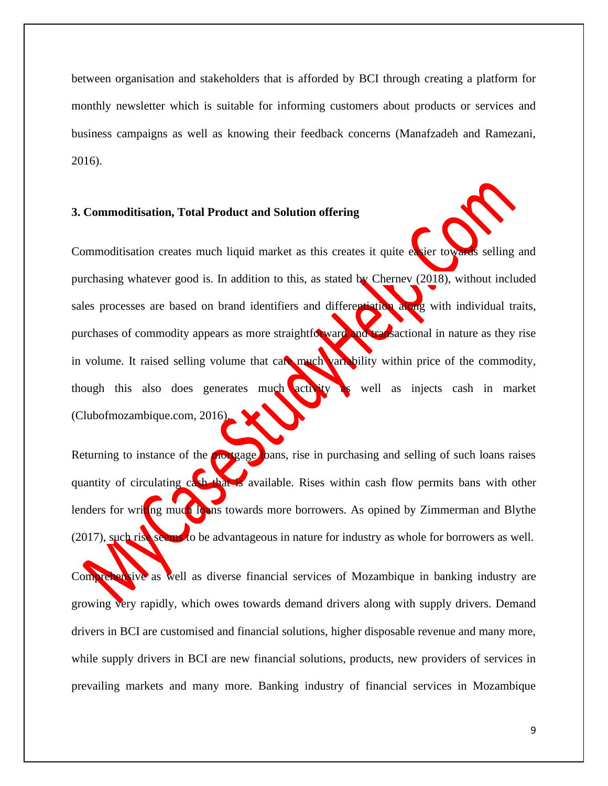between organisation and stakeholders that is afforded by BCI through creating a platform for monthly newsletter which is suitable for informing customers about products or services and business campaigns as well as knowing their feedback concerns (Manafzadeh and Ramezani, 2016).

# <span id="page-8-0"></span>**3. Commoditisation, Total Product and Solution offering**

Commoditisation creates much liquid market as this creates it quite easier towards selling and purchasing whatever good is. In addition to this, as stated by Chernev (2018), without included sales processes are based on brand identifiers and differentiation along with individual traits, purchases of commodity appears as more straightforward and transactional in nature as they rise in volume. It raised selling volume that care much variability within price of the commodity, though this also does generates much activity as well as injects cash in market (Clubofmozambique.com, 2016).

Returning to instance of the mortgage loans, rise in purchasing and selling of such loans raises quantity of circulating cash that is available. Rises within cash flow permits bans with other lenders for writing much loans towards more borrowers. As opined by Zimmerman and Blythe (2017), such rise seems to be advantageous in nature for industry as whole for borrowers as well.

Comprehensive as well as diverse financial services of Mozambique in banking industry are growing very rapidly, which owes towards demand drivers along with supply drivers. Demand drivers in BCI are customised and financial solutions, higher disposable revenue and many more, while supply drivers in BCI are new financial solutions, products, new providers of services in prevailing markets and many more. Banking industry of financial services in Mozambique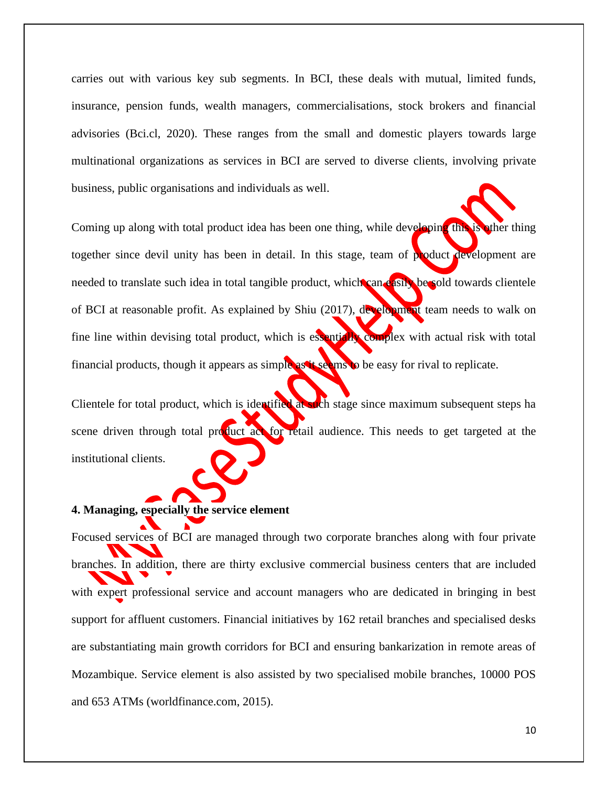carries out with various key sub segments. In BCI, these deals with mutual, limited funds, insurance, pension funds, wealth managers, commercialisations, stock brokers and financial advisories (Bci.cl, 2020). These ranges from the small and domestic players towards large multinational organizations as services in BCI are served to diverse clients, involving private business, public organisations and individuals as well.

Coming up along with total product idea has been one thing, while developing this is other thing together since devil unity has been in detail. In this stage, team of product development are needed to translate such idea in total tangible product, which can easily be sold towards clientele of BCI at reasonable profit. As explained by Shiu (2017), development team needs to walk on fine line within devising total product, which is essentially complex with actual risk with total financial products, though it appears as simple as it seems to be easy for rival to replicate.

Clientele for total product, which is identified at such stage since maximum subsequent steps ha scene driven through total product act for retail audience. This needs to get targeted at the institutional clients.

# <span id="page-9-0"></span>**4. Managing, especially the service element**

Focused services of BCI are managed through two corporate branches along with four private branches. In addition, there are thirty exclusive commercial business centers that are included with expert professional service and account managers who are dedicated in bringing in best support for affluent customers. Financial initiatives by 162 retail branches and specialised desks are substantiating main growth corridors for BCI and ensuring bankarization in remote areas of Mozambique. Service element is also assisted by two specialised mobile branches, 10000 POS and 653 ATMs (worldfinance.com, 2015).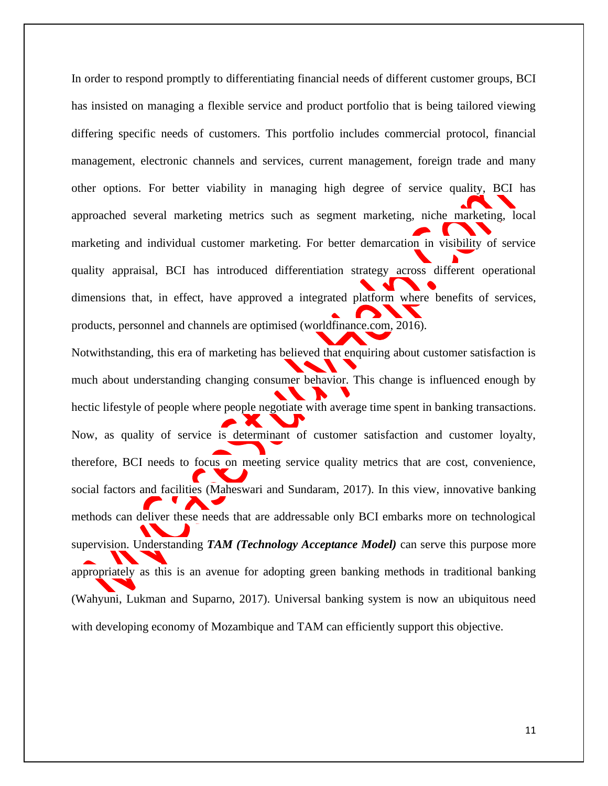In order to respond promptly to differentiating financial needs of different customer groups, BCI has insisted on managing a flexible service and product portfolio that is being tailored viewing differing specific needs of customers. This portfolio includes commercial protocol, financial management, electronic channels and services, current management, foreign trade and many other options. For better viability in managing high degree of service quality, BCI has approached several marketing metrics such as segment marketing, niche marketing, local marketing and individual customer marketing. For better demarcation in visibility of service quality appraisal, BCI has introduced differentiation strategy across different operational dimensions that, in effect, have approved a integrated platform where benefits of services, products, personnel and channels are optimised (worldfinance.com, 2016). Notwithstanding, this era of marketing has believed that enquiring about customer satisfaction is much about understanding changing consumer behavior. This change is influenced enough by hectic lifestyle of people where people negotiate with average time spent in banking transactions. Now, as quality of service is determinant of customer satisfaction and customer loyalty, therefore, BCI needs to focus on meeting service quality metrics that are cost, convenience, social factors and facilities (Maheswari and Sundaram, 2017). In this view, innovative banking methods can deliver these needs that are addressable only BCI embarks more on technological supervision. Understanding *TAM (Technology Acceptance Model)* can serve this purpose more appropriately as this is an avenue for adopting green banking methods in traditional banking (Wahyuni, Lukman and Suparno, 2017). Universal banking system is now an ubiquitous need with developing economy of Mozambique and TAM can efficiently support this objective.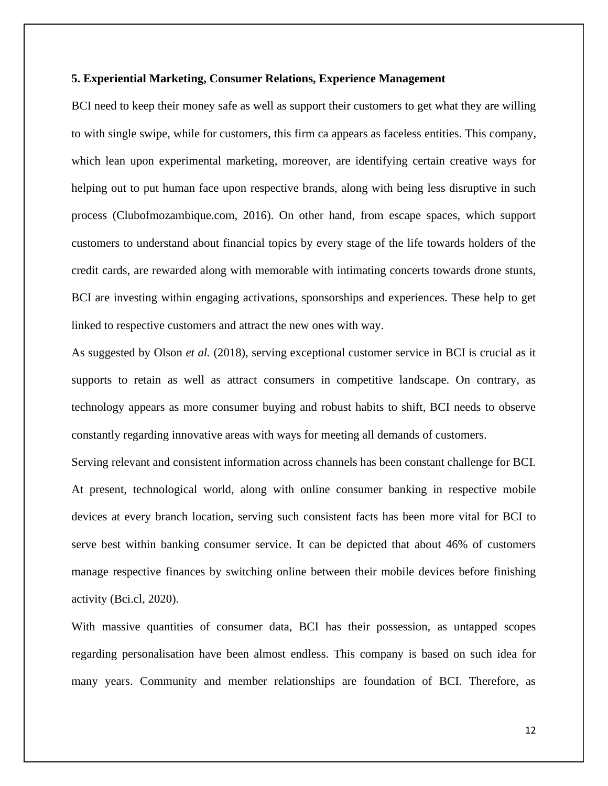### <span id="page-11-0"></span>**5. Experiential Marketing, Consumer Relations, Experience Management**

BCI need to keep their money safe as well as support their customers to get what they are willing to with single swipe, while for customers, this firm ca appears as faceless entities. This company, which lean upon experimental marketing, moreover, are identifying certain creative ways for helping out to put human face upon respective brands, along with being less disruptive in such process (Clubofmozambique.com, 2016). On other hand, from escape spaces, which support customers to understand about financial topics by every stage of the life towards holders of the credit cards, are rewarded along with memorable with intimating concerts towards drone stunts, BCI are investing within engaging activations, sponsorships and experiences. These help to get linked to respective customers and attract the new ones with way.

As suggested by Olson *et al.* (2018), serving exceptional customer service in BCI is crucial as it supports to retain as well as attract consumers in competitive landscape. On contrary, as technology appears as more consumer buying and robust habits to shift, BCI needs to observe constantly regarding innovative areas with ways for meeting all demands of customers.

Serving relevant and consistent information across channels has been constant challenge for BCI. At present, technological world, along with online consumer banking in respective mobile devices at every branch location, serving such consistent facts has been more vital for BCI to serve best within banking consumer service. It can be depicted that about 46% of customers manage respective finances by switching online between their mobile devices before finishing activity (Bci.cl, 2020).

With massive quantities of consumer data, BCI has their possession, as untapped scopes regarding personalisation have been almost endless. This company is based on such idea for many years. Community and member relationships are foundation of BCI. Therefore, as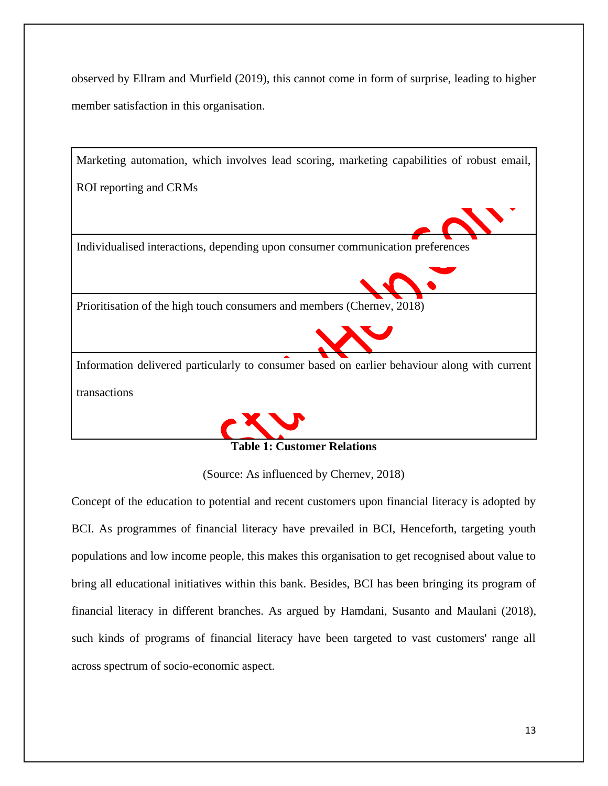observed by Ellram and Murfield (2019), this cannot come in form of surprise, leading to higher member satisfaction in this organisation.





# **Table 1: Customer Relations**

(Source: As influenced by Chernev, 2018)

Concept of the education to potential and recent customers upon financial literacy is adopted by BCI. As programmes of financial literacy have prevailed in BCI, Henceforth, targeting youth populations and low income people, this makes this organisation to get recognised about value to bring all educational initiatives within this bank. Besides, BCI has been bringing its program of financial literacy in different branches. As argued by Hamdani, Susanto and Maulani (2018), such kinds of programs of financial literacy have been targeted to vast customers' range all across spectrum of socio-economic aspect.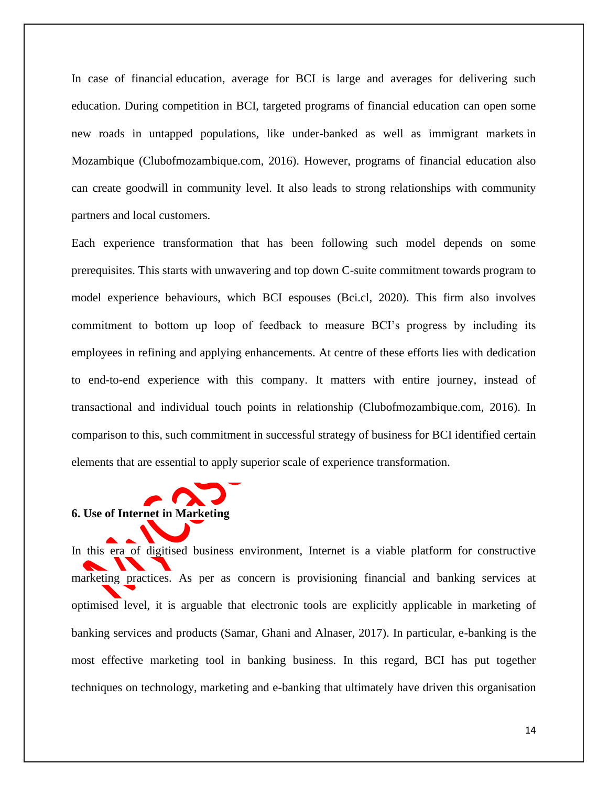In case of financial education, average for BCI is large and averages for delivering such education. During competition in BCI, targeted programs of financial education can open some new roads in untapped populations, like under-banked as well as immigrant markets in Mozambique (Clubofmozambique.com, 2016). However, programs of financial education also can create goodwill in community level. It also leads to strong relationships with community partners and local customers.

Each experience transformation that has been following such model depends on some prerequisites. This starts with unwavering and top down C-suite commitment towards program to model experience behaviours, which BCI espouses (Bci.cl, 2020). This firm also involves commitment to bottom up loop of feedback to measure BCI's progress by including its employees in refining and applying enhancements. At centre of these efforts lies with dedication to end-to-end experience with this company. It matters with entire journey, instead of transactional and individual touch points in relationship (Clubofmozambique.com, 2016). In comparison to this, such commitment in successful strategy of business for BCI identified certain elements that are essential to apply superior scale of experience transformation.

# <span id="page-13-0"></span>**6. Use of Internet in Marketing**

In this era of digitised business environment, Internet is a viable platform for constructive marketing practices. As per as concern is provisioning financial and banking services at optimised level, it is arguable that electronic tools are explicitly applicable in marketing of banking services and products (Samar, Ghani and Alnaser, 2017). In particular, e-banking is the most effective marketing tool in banking business. In this regard, BCI has put together techniques on technology, marketing and e-banking that ultimately have driven this organisation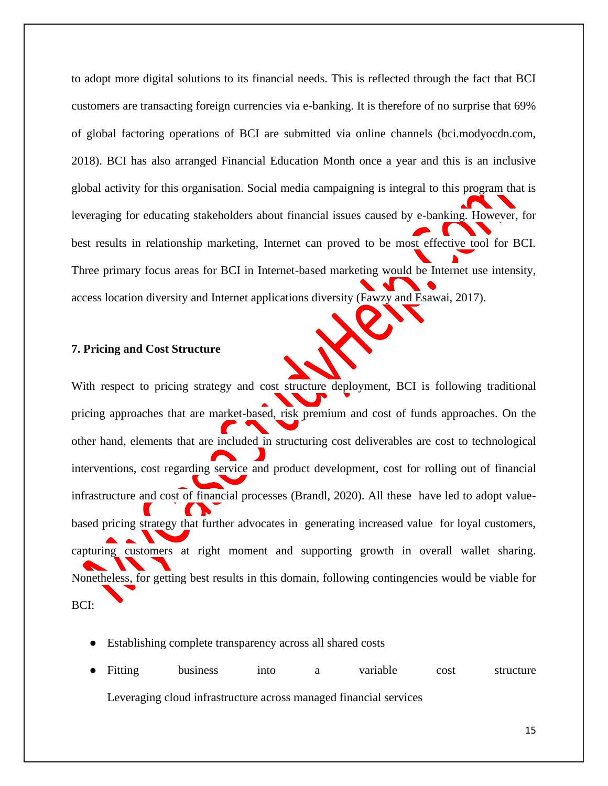to adopt more digital solutions to its financial needs. This is reflected through the fact that BCI customers are transacting foreign currencies via e-banking. It is therefore of no surprise that 69% of global factoring operations of BCI are submitted via online channels (bci.modyocdn.com, 2018). BCI has also arranged Financial Education Month once a year and this is an inclusive global activity for this organisation. Social media campaigning is integral to this program that is leveraging for educating stakeholders about financial issues caused by e-banking. However, for best results in relationship marketing, Internet can proved to be most effective tool for BCI. Three primary focus areas for BCI in Internet-based marketing would be Internet use intensity, access location diversity and Internet applications diversity (Fawzy and Esawai, 2017).

# <span id="page-14-0"></span>**7. Pricing and Cost Structure**

With respect to pricing strategy and cost structure deployment, BCI is following traditional pricing approaches that are market-based, risk premium and cost of funds approaches. On the other hand, elements that are included in structuring cost deliverables are cost to technological interventions, cost regarding service and product development, cost for rolling out of financial infrastructure and cost of financial processes (Brandl, 2020). All these have led to adopt valuebased pricing strategy that further advocates in generating increased value for loyal customers, capturing customers at right moment and supporting growth in overall wallet sharing. Nonetheless, for getting best results in this domain, following contingencies would be viable for BCI:

- Establishing complete transparency across all shared costs
- Fitting business into a variable cost structure Leveraging cloud infrastructure across managed financial services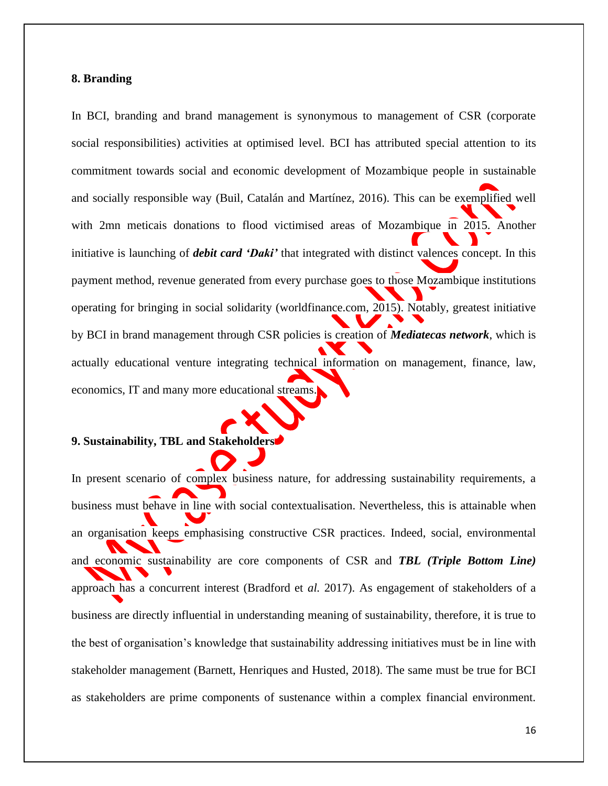### <span id="page-15-0"></span>**8. Branding**

In BCI, branding and brand management is synonymous to management of CSR (corporate social responsibilities) activities at optimised level. BCI has attributed special attention to its commitment towards social and economic development of Mozambique people in sustainable and socially responsible way (Buil, Catalán and Martínez, 2016). This can be exemplified well with 2mn meticais donations to flood victimised areas of Mozambique in 2015. Another initiative is launching of *debit card 'Daki'* that integrated with distinct valences concept. In this payment method, revenue generated from every purchase goes to those Mozambique institutions operating for bringing in social solidarity (worldfinance.com, 2015). Notably, greatest initiative by BCI in brand management through CSR policies is creation of *Mediatecas network*, which is actually educational venture integrating technical information on management, finance, law, economics, IT and many more educational streams.

# <span id="page-15-1"></span>**9. Sustainability, TBL and Stakeholders**

In present scenario of complex business nature, for addressing sustainability requirements, a business must behave in line with social contextualisation. Nevertheless, this is attainable when an organisation keeps emphasising constructive CSR practices. Indeed, social, environmental and economic sustainability are core components of CSR and *TBL (Triple Bottom Line)* approach has a concurrent interest (Bradford et *al.* 2017). As engagement of stakeholders of a business are directly influential in understanding meaning of sustainability, therefore, it is true to the best of organisation's knowledge that sustainability addressing initiatives must be in line with stakeholder management (Barnett, Henriques and Husted, 2018). The same must be true for BCI as stakeholders are prime components of sustenance within a complex financial environment.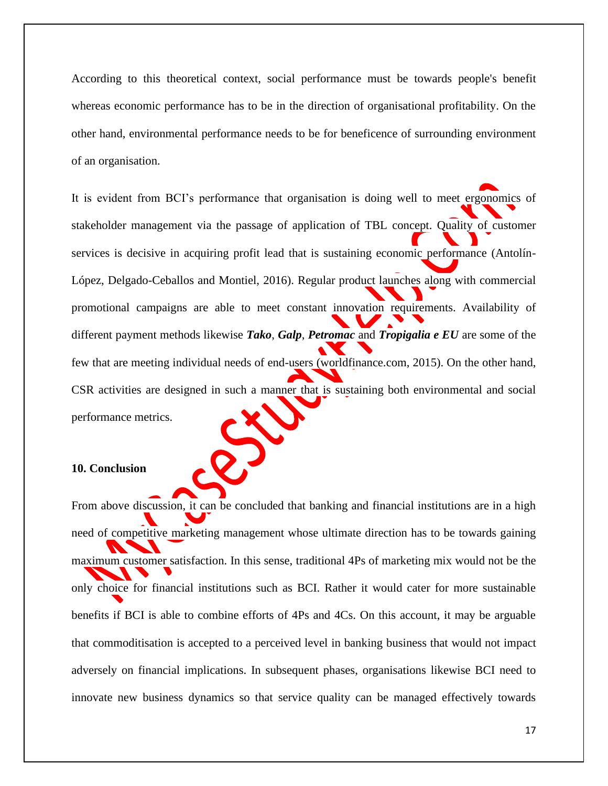According to this theoretical context, social performance must be towards people's benefit whereas economic performance has to be in the direction of organisational profitability. On the other hand, environmental performance needs to be for beneficence of surrounding environment of an organisation.

It is evident from BCI's performance that organisation is doing well to meet ergonomics of stakeholder management via the passage of application of TBL concept. Quality of customer services is decisive in acquiring profit lead that is sustaining economic performance (Antolín-López, Delgado-Ceballos and Montiel, 2016). Regular product launches along with commercial promotional campaigns are able to meet constant innovation requirements. Availability of different payment methods likewise *Tako*, *Galp*, *Petromac* and *Tropigalia e EU* are some of the few that are meeting individual needs of end-users (worldfinance.com, 2015). On the other hand, CSR activities are designed in such a manner that is sustaining both environmental and social performance metrics.

<span id="page-16-0"></span>**10. Conclusion** 

From above discussion, it can be concluded that banking and financial institutions are in a high need of competitive marketing management whose ultimate direction has to be towards gaining maximum customer satisfaction. In this sense, traditional 4Ps of marketing mix would not be the only choice for financial institutions such as BCI. Rather it would cater for more sustainable benefits if BCI is able to combine efforts of 4Ps and 4Cs. On this account, it may be arguable that commoditisation is accepted to a perceived level in banking business that would not impact adversely on financial implications. In subsequent phases, organisations likewise BCI need to innovate new business dynamics so that service quality can be managed effectively towards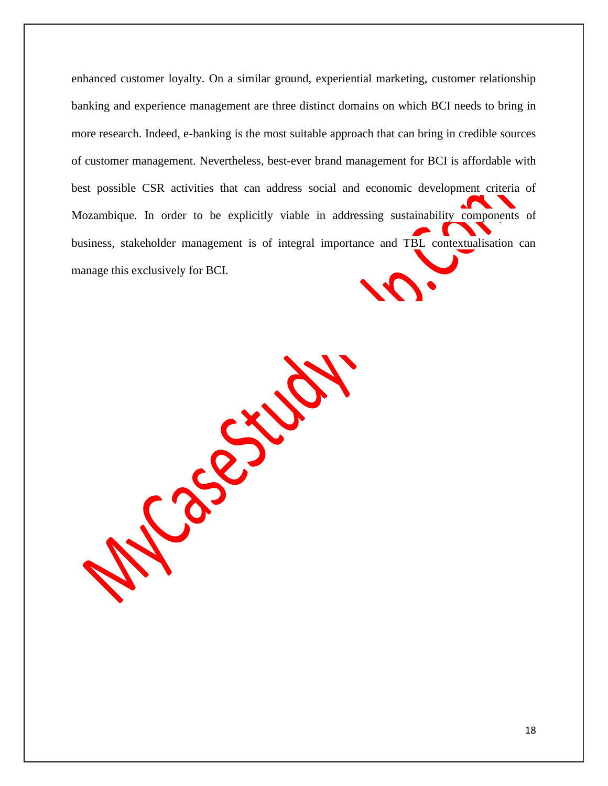enhanced customer loyalty. On a similar ground, experiential marketing, customer relationship banking and experience management are three distinct domains on which BCI needs to bring in more research. Indeed, e-banking is the most suitable approach that can bring in credible sources of customer management. Nevertheless, best-ever brand management for BCI is affordable with best possible CSR activities that can address social and economic development criteria of Mozambique. In order to be explicitly viable in addressing sustainability components of business, stakeholder management is of integral importance and TBL contextualisation can manage this exclusively for BCI.

Page 316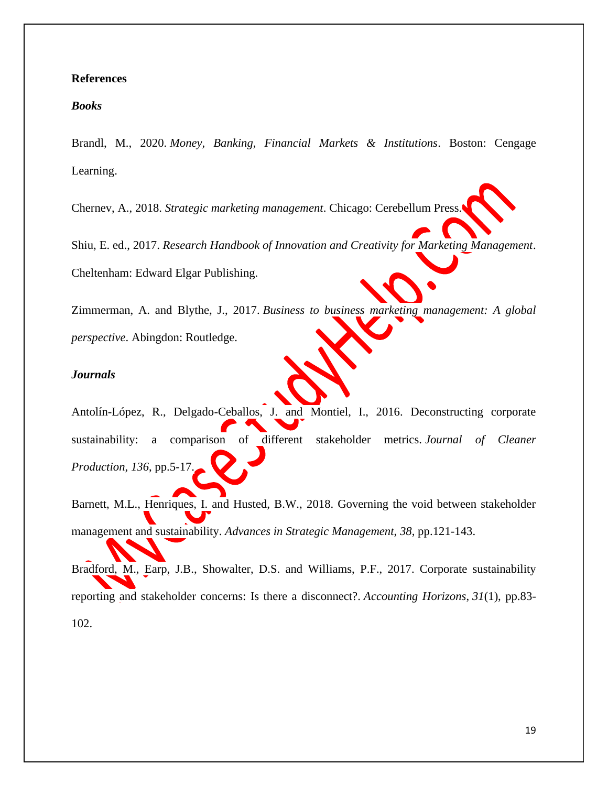# <span id="page-18-0"></span>**References**

# *Books*

Brandl, M., 2020. *Money, Banking, Financial Markets & Institutions*. Boston: Cengage Learning.

Chernev, A., 2018. *Strategic marketing management*. Chicago: Cerebellum Press.

Shiu, E. ed., 2017. *Research Handbook of Innovation and Creativity for Marketing Management*. Cheltenham: Edward Elgar Publishing.

Zimmerman, A. and Blythe, J., 2017. *Business to business marketing management: A global perspective*. Abingdon: Routledge.

#### *Journals*

Antolín-López, R., Delgado-Ceballos, J. and Montiel, I., 2016. Deconstructing corporate sustainability: a comparison of different stakeholder metrics. *Journal of Cleaner Production*, *136*, pp.5-17.

Barnett, M.L., Henriques, I. and Husted, B.W., 2018. Governing the void between stakeholder management and sustainability. *Advances in Strategic Management*, *38*, pp.121-143.

Bradford, M., Earp, J.B., Showalter, D.S. and Williams, P.F., 2017. Corporate sustainability reporting and stakeholder concerns: Is there a disconnect?. *Accounting Horizons*, *31*(1), pp.83- 102.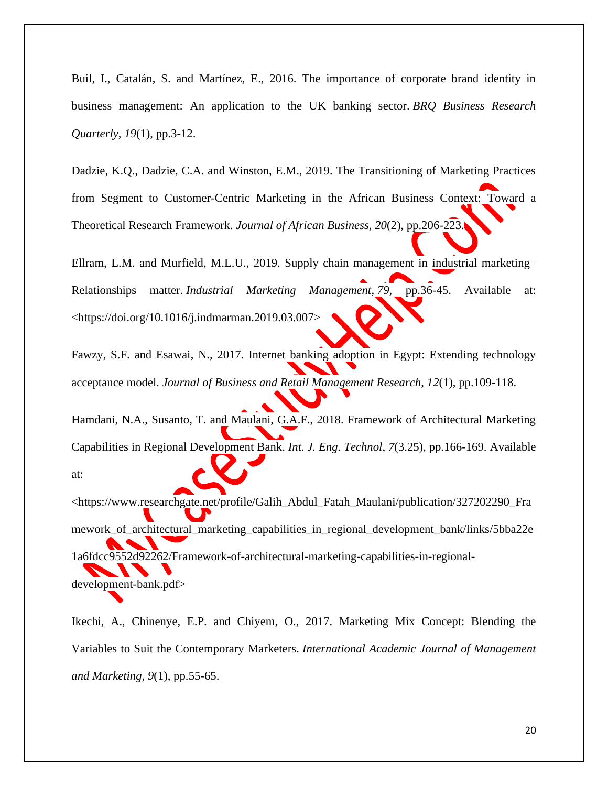Buil, I., Catalán, S. and Martínez, E., 2016. The importance of corporate brand identity in business management: An application to the UK banking sector. *BRQ Business Research Quarterly*, *19*(1), pp.3-12.

Dadzie, K.Q., Dadzie, C.A. and Winston, E.M., 2019. The Transitioning of Marketing Practices from Segment to Customer-Centric Marketing in the African Business Context: Toward a Theoretical Research Framework. *Journal of African Business*, *20*(2), pp.206-223.

Ellram, L.M. and Murfield, M.L.U., 2019. Supply chain management in industrial marketing– Relationships matter. *Industrial Marketing Management*, *79*, pp.36-45. Available at: [<https://doi.org/10.1016/j.indmarman.2019.03.007>](https://doi.org/10.1016/j.indmarman.2019.03.007)

Fawzy, S.F. and Esawai, N., 2017. Internet banking adoption in Egypt: Extending technology acceptance model. *Journal of Business and Retail Management Research*, *12*(1), pp.109-118.

Hamdani, N.A., Susanto, T. and Maulani, G.A.F., 2018. Framework of Architectural Marketing Capabilities in Regional Development Bank. *Int. J. Eng. Technol*, *7*(3.25), pp.166-169. Available at:

[<https://www.researchgate.net/profile/Galih\\_Abdul\\_Fatah\\_Maulani/publication/327202290\\_Fra](https://www.researchgate.net/profile/Galih_Abdul_Fatah_Maulani/publication/327202290_Framework_of_architectural_marketing_capabilities_in_regional_development_bank/links/5bba22e1a6fdcc9552d92262/Framework-of-architectural-marketing-capabilities-in-regional-development-bank.pdf) [mework\\_of\\_architectural\\_marketing\\_capabilities\\_in\\_regional\\_development\\_bank/links/5bba22e](https://www.researchgate.net/profile/Galih_Abdul_Fatah_Maulani/publication/327202290_Framework_of_architectural_marketing_capabilities_in_regional_development_bank/links/5bba22e1a6fdcc9552d92262/Framework-of-architectural-marketing-capabilities-in-regional-development-bank.pdf) [1a6fdcc9552d92262/Framework-of-architectural-marketing-capabilities-in-regional](https://www.researchgate.net/profile/Galih_Abdul_Fatah_Maulani/publication/327202290_Framework_of_architectural_marketing_capabilities_in_regional_development_bank/links/5bba22e1a6fdcc9552d92262/Framework-of-architectural-marketing-capabilities-in-regional-development-bank.pdf)[development-bank.pdf>](https://www.researchgate.net/profile/Galih_Abdul_Fatah_Maulani/publication/327202290_Framework_of_architectural_marketing_capabilities_in_regional_development_bank/links/5bba22e1a6fdcc9552d92262/Framework-of-architectural-marketing-capabilities-in-regional-development-bank.pdf)

Ikechi, A., Chinenye, E.P. and Chiyem, O., 2017. Marketing Mix Concept: Blending the Variables to Suit the Contemporary Marketers. *International Academic Journal of Management and Marketing*, *9*(1), pp.55-65.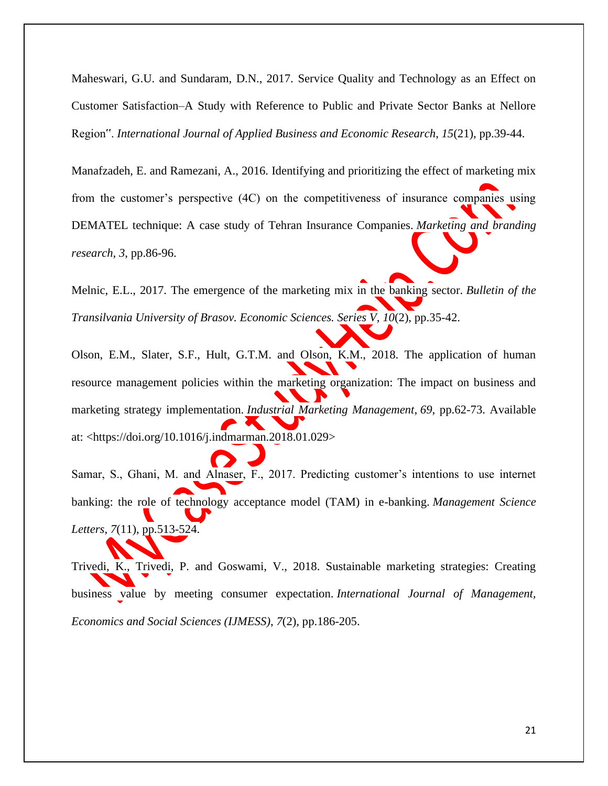Maheswari, G.U. and Sundaram, D.N., 2017. Service Quality and Technology as an Effect on Customer Satisfaction–A Study with Reference to Public and Private Sector Banks at Nellore Region". *International Journal of Applied Business and Economic Research*, *15*(21), pp.39-44.

Manafzadeh, E. and Ramezani, A., 2016. Identifying and prioritizing the effect of marketing mix from the customer's perspective (4C) on the competitiveness of insurance companies using DEMATEL technique: A case study of Tehran Insurance Companies. *Marketing and branding research*, *3*, pp.86-96.

Melnic, E.L., 2017. The emergence of the marketing mix in the banking sector. *Bulletin of the Transilvania University of Brasov. Economic Sciences. Series V*, *10*(2), pp.35-42.

Olson, E.M., Slater, S.F., Hult, G.T.M. and Olson, K.M., 2018. The application of human resource management policies within the marketing organization: The impact on business and marketing strategy implementation. *Industrial Marketing Management*, *69*, pp.62-73. Available at: [<https://doi.org/10.1016/j.indmarman.2018.01.029>](https://doi.org/10.1016/j.indmarman.2018.01.029)

Samar, S., Ghani, M. and Alnaser, F., 2017. Predicting customer's intentions to use internet banking: the role of technology acceptance model (TAM) in e-banking. *Management Science Letters*, *7*(11), pp.513-524.

Trivedi, K., Trivedi, P. and Goswami, V., 2018. Sustainable marketing strategies: Creating business value by meeting consumer expectation. *International Journal of Management, Economics and Social Sciences (IJMESS)*, *7*(2), pp.186-205.